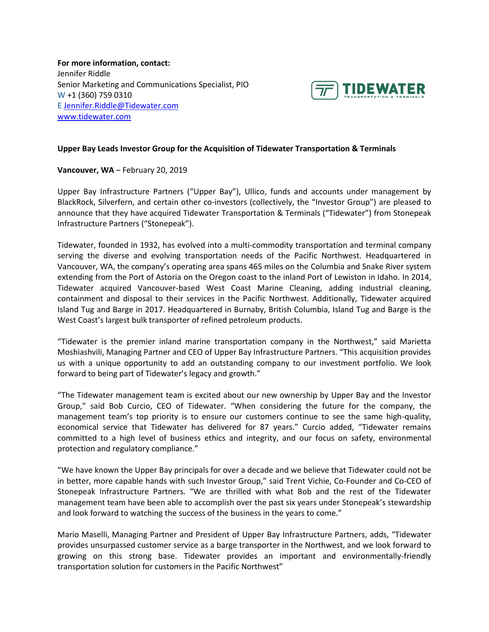**For more information, contact:** Jennifer Riddle Senior Marketing and Communications Specialist, PIO W +1 (360) 759 0310 E [Jennifer.Riddle@Tidewater.com](mailto:Jennifer.Riddle@Tidewater.com) [www.tidewater.com](http://www.tidewater.com/)



## **Upper Bay Leads Investor Group for the Acquisition of Tidewater Transportation & Terminals**

**Vancouver, WA** – February 20, 2019

Upper Bay Infrastructure Partners ("Upper Bay"), Ullico, funds and accounts under management by BlackRock, Silverfern, and certain other co-investors (collectively, the "Investor Group") are pleased to announce that they have acquired Tidewater Transportation & Terminals ("Tidewater") from Stonepeak Infrastructure Partners ("Stonepeak").

Tidewater, founded in 1932, has evolved into a multi-commodity transportation and terminal company serving the diverse and evolving transportation needs of the Pacific Northwest. Headquartered in Vancouver, WA, the company's operating area spans 465 miles on the Columbia and Snake River system extending from the Port of Astoria on the Oregon coast to the inland Port of Lewiston in Idaho. In 2014, Tidewater acquired Vancouver-based West Coast Marine Cleaning, adding industrial cleaning, containment and disposal to their services in the Pacific Northwest. Additionally, Tidewater acquired Island Tug and Barge in 2017. Headquartered in Burnaby, British Columbia, Island Tug and Barge is the West Coast's largest bulk transporter of refined petroleum products.

"Tidewater is the premier inland marine transportation company in the Northwest," said Marietta Moshiashvili, Managing Partner and CEO of Upper Bay Infrastructure Partners. "This acquisition provides us with a unique opportunity to add an outstanding company to our investment portfolio. We look forward to being part of Tidewater's legacy and growth."

"The Tidewater management team is excited about our new ownership by Upper Bay and the Investor Group," said Bob Curcio, CEO of Tidewater. "When considering the future for the company, the management team's top priority is to ensure our customers continue to see the same high-quality, economical service that Tidewater has delivered for 87 years." Curcio added, "Tidewater remains committed to a high level of business ethics and integrity, and our focus on safety, environmental protection and regulatory compliance."

"We have known the Upper Bay principals for over a decade and we believe that Tidewater could not be in better, more capable hands with such Investor Group," said Trent Vichie, Co-Founder and Co-CEO of Stonepeak Infrastructure Partners. "We are thrilled with what Bob and the rest of the Tidewater management team have been able to accomplish over the past six years under Stonepeak's stewardship and look forward to watching the success of the business in the years to come."

Mario Maselli, Managing Partner and President of Upper Bay Infrastructure Partners, adds, "Tidewater provides unsurpassed customer service as a barge transporter in the Northwest, and we look forward to growing on this strong base. Tidewater provides an important and environmentally-friendly transportation solution for customers in the Pacific Northwest"